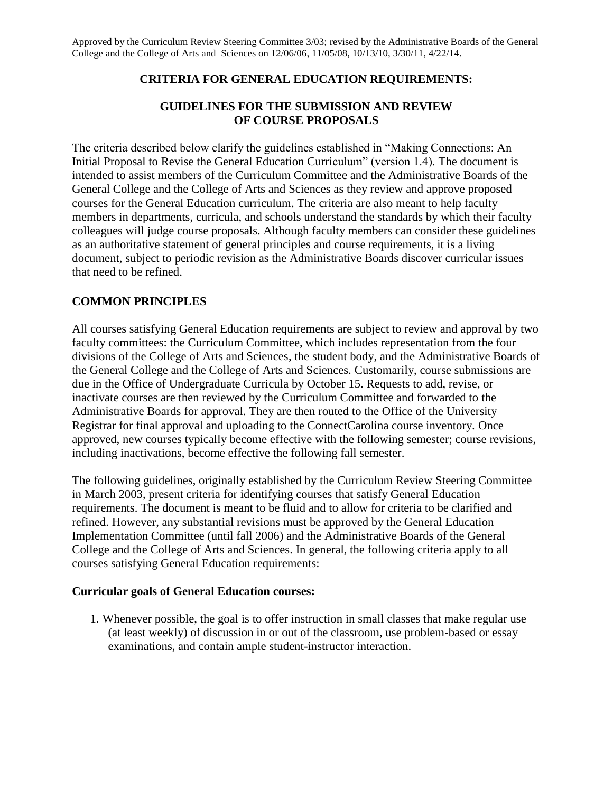# **CRITERIA FOR GENERAL EDUCATION REQUIREMENTS:**

## **GUIDELINES FOR THE SUBMISSION AND REVIEW OF COURSE PROPOSALS**

The criteria described below clarify the guidelines established in "Making Connections: An Initial Proposal to Revise the General Education Curriculum" (version 1.4). The document is intended to assist members of the Curriculum Committee and the Administrative Boards of the General College and the College of Arts and Sciences as they review and approve proposed courses for the General Education curriculum. The criteria are also meant to help faculty members in departments, curricula, and schools understand the standards by which their faculty colleagues will judge course proposals. Although faculty members can consider these guidelines as an authoritative statement of general principles and course requirements, it is a living document, subject to periodic revision as the Administrative Boards discover curricular issues that need to be refined.

## **COMMON PRINCIPLES**

All courses satisfying General Education requirements are subject to review and approval by two faculty committees: the Curriculum Committee, which includes representation from the four divisions of the College of Arts and Sciences, the student body, and the Administrative Boards of the General College and the College of Arts and Sciences. Customarily, course submissions are due in the Office of Undergraduate Curricula by October 15. Requests to add, revise, or inactivate courses are then reviewed by the Curriculum Committee and forwarded to the Administrative Boards for approval. They are then routed to the Office of the University Registrar for final approval and uploading to the ConnectCarolina course inventory. Once approved, new courses typically become effective with the following semester; course revisions, including inactivations, become effective the following fall semester.

The following guidelines, originally established by the Curriculum Review Steering Committee in March 2003, present criteria for identifying courses that satisfy General Education requirements. The document is meant to be fluid and to allow for criteria to be clarified and refined. However, any substantial revisions must be approved by the General Education Implementation Committee (until fall 2006) and the Administrative Boards of the General College and the College of Arts and Sciences. In general, the following criteria apply to all courses satisfying General Education requirements:

### **Curricular goals of General Education courses:**

1. Whenever possible, the goal is to offer instruction in small classes that make regular use (at least weekly) of discussion in or out of the classroom, use problem-based or essay examinations, and contain ample student-instructor interaction.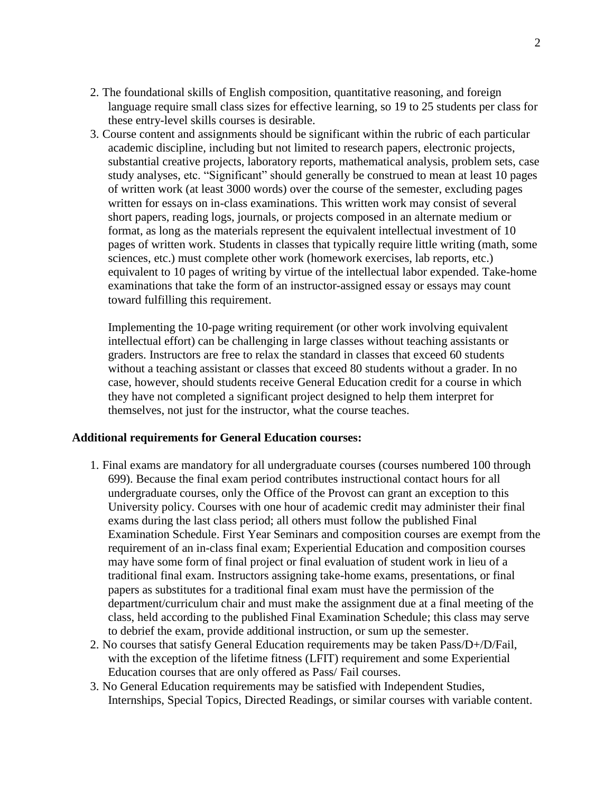- 2. The foundational skills of English composition, quantitative reasoning, and foreign language require small class sizes for effective learning, so 19 to 25 students per class for these entry-level skills courses is desirable.
- 3. Course content and assignments should be significant within the rubric of each particular academic discipline, including but not limited to research papers, electronic projects, substantial creative projects, laboratory reports, mathematical analysis, problem sets, case study analyses, etc. "Significant" should generally be construed to mean at least 10 pages of written work (at least 3000 words) over the course of the semester, excluding pages written for essays on in-class examinations. This written work may consist of several short papers, reading logs, journals, or projects composed in an alternate medium or format, as long as the materials represent the equivalent intellectual investment of 10 pages of written work. Students in classes that typically require little writing (math, some sciences, etc.) must complete other work (homework exercises, lab reports, etc.) equivalent to 10 pages of writing by virtue of the intellectual labor expended. Take-home examinations that take the form of an instructor-assigned essay or essays may count toward fulfilling this requirement.

Implementing the 10-page writing requirement (or other work involving equivalent intellectual effort) can be challenging in large classes without teaching assistants or graders. Instructors are free to relax the standard in classes that exceed 60 students without a teaching assistant or classes that exceed 80 students without a grader. In no case, however, should students receive General Education credit for a course in which they have not completed a significant project designed to help them interpret for themselves, not just for the instructor, what the course teaches.

#### **Additional requirements for General Education courses:**

- 1. Final exams are mandatory for all undergraduate courses (courses numbered 100 through 699). Because the final exam period contributes instructional contact hours for all undergraduate courses, only the Office of the Provost can grant an exception to this University policy. Courses with one hour of academic credit may administer their final exams during the last class period; all others must follow the published Final Examination Schedule. First Year Seminars and composition courses are exempt from the requirement of an in-class final exam; Experiential Education and composition courses may have some form of final project or final evaluation of student work in lieu of a traditional final exam. Instructors assigning take-home exams, presentations, or final papers as substitutes for a traditional final exam must have the permission of the department/curriculum chair and must make the assignment due at a final meeting of the class, held according to the published Final Examination Schedule; this class may serve to debrief the exam, provide additional instruction, or sum up the semester.
- 2. No courses that satisfy General Education requirements may be taken Pass/D+/D/Fail, with the exception of the lifetime fitness (LFIT) requirement and some Experiential Education courses that are only offered as Pass/ Fail courses.
- 3. No General Education requirements may be satisfied with Independent Studies, Internships, Special Topics, Directed Readings, or similar courses with variable content.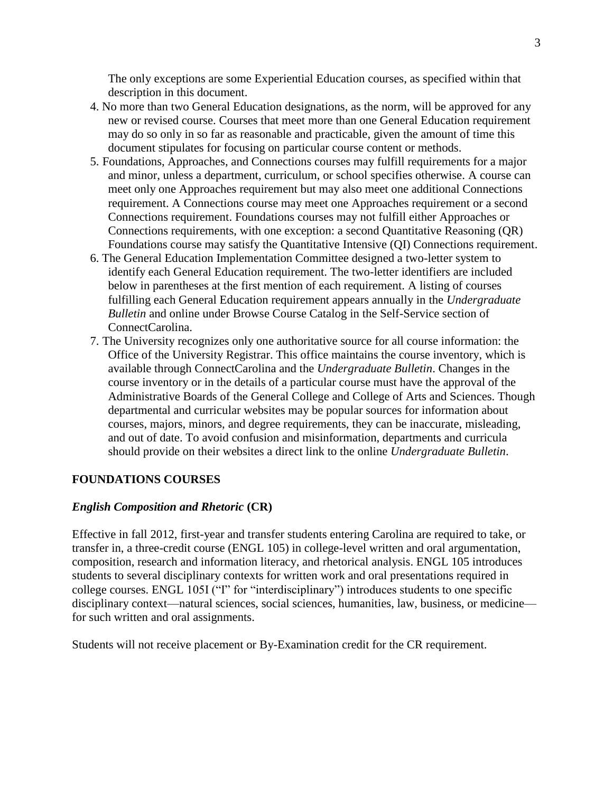The only exceptions are some Experiential Education courses, as specified within that description in this document.

- 4. No more than two General Education designations, as the norm, will be approved for any new or revised course. Courses that meet more than one General Education requirement may do so only in so far as reasonable and practicable, given the amount of time this document stipulates for focusing on particular course content or methods.
- 5. Foundations, Approaches, and Connections courses may fulfill requirements for a major and minor, unless a department, curriculum, or school specifies otherwise. A course can meet only one Approaches requirement but may also meet one additional Connections requirement. A Connections course may meet one Approaches requirement or a second Connections requirement. Foundations courses may not fulfill either Approaches or Connections requirements, with one exception: a second Quantitative Reasoning (QR) Foundations course may satisfy the Quantitative Intensive (QI) Connections requirement.
- 6. The General Education Implementation Committee designed a two-letter system to identify each General Education requirement. The two-letter identifiers are included below in parentheses at the first mention of each requirement. A listing of courses fulfilling each General Education requirement appears annually in the *Undergraduate Bulletin* and online under Browse Course Catalog in the Self-Service section of ConnectCarolina.
- 7. The University recognizes only one authoritative source for all course information: the Office of the University Registrar. This office maintains the course inventory, which is available through ConnectCarolina and the *Undergraduate Bulletin*. Changes in the course inventory or in the details of a particular course must have the approval of the Administrative Boards of the General College and College of Arts and Sciences. Though departmental and curricular websites may be popular sources for information about courses, majors, minors, and degree requirements, they can be inaccurate, misleading, and out of date. To avoid confusion and misinformation, departments and curricula should provide on their websites a direct link to the online *Undergraduate Bulletin*.

### **FOUNDATIONS COURSES**

### *English Composition and Rhetoric* **(CR)**

Effective in fall 2012, first-year and transfer students entering Carolina are required to take, or transfer in, a three-credit course (ENGL 105) in college-level written and oral argumentation, composition, research and information literacy, and rhetorical analysis. ENGL 105 introduces students to several disciplinary contexts for written work and oral presentations required in college courses. ENGL 105I ("I" for "interdisciplinary") introduces students to one specific disciplinary context—natural sciences, social sciences, humanities, law, business, or medicine for such written and oral assignments.

Students will not receive placement or By-Examination credit for the CR requirement.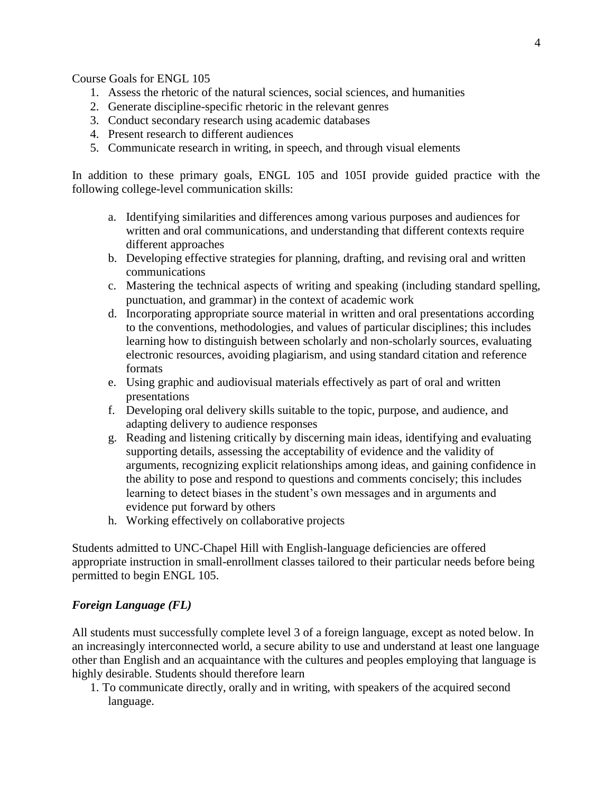Course Goals for ENGL 105

- 1. Assess the rhetoric of the natural sciences, social sciences, and humanities
- 2. Generate discipline-specific rhetoric in the relevant genres
- 3. Conduct secondary research using academic databases
- 4. Present research to different audiences
- 5. Communicate research in writing, in speech, and through visual elements

In addition to these primary goals, ENGL 105 and 105I provide guided practice with the following college-level communication skills:

- a. Identifying similarities and differences among various purposes and audiences for written and oral communications, and understanding that different contexts require different approaches
- b. Developing effective strategies for planning, drafting, and revising oral and written communications
- c. Mastering the technical aspects of writing and speaking (including standard spelling, punctuation, and grammar) in the context of academic work
- d. Incorporating appropriate source material in written and oral presentations according to the conventions, methodologies, and values of particular disciplines; this includes learning how to distinguish between scholarly and non-scholarly sources, evaluating electronic resources, avoiding plagiarism, and using standard citation and reference formats
- e. Using graphic and audiovisual materials effectively as part of oral and written presentations
- f. Developing oral delivery skills suitable to the topic, purpose, and audience, and adapting delivery to audience responses
- g. Reading and listening critically by discerning main ideas, identifying and evaluating supporting details, assessing the acceptability of evidence and the validity of arguments, recognizing explicit relationships among ideas, and gaining confidence in the ability to pose and respond to questions and comments concisely; this includes learning to detect biases in the student's own messages and in arguments and evidence put forward by others
- h. Working effectively on collaborative projects

Students admitted to UNC-Chapel Hill with English-language deficiencies are offered appropriate instruction in small-enrollment classes tailored to their particular needs before being permitted to begin ENGL 105.

# *Foreign Language (FL)*

All students must successfully complete level 3 of a foreign language, except as noted below. In an increasingly interconnected world, a secure ability to use and understand at least one language other than English and an acquaintance with the cultures and peoples employing that language is highly desirable. Students should therefore learn

1. To communicate directly, orally and in writing, with speakers of the acquired second language.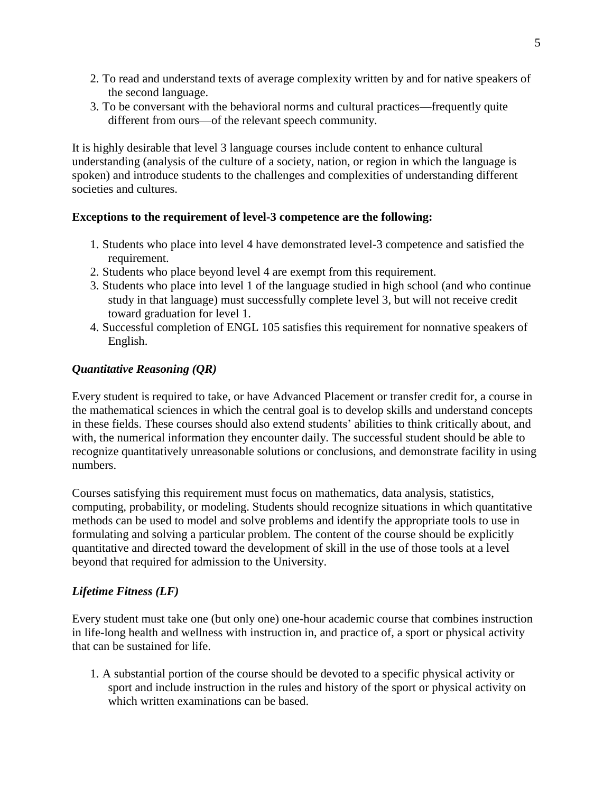- 2. To read and understand texts of average complexity written by and for native speakers of the second language.
- 3. To be conversant with the behavioral norms and cultural practices—frequently quite different from ours—of the relevant speech community.

It is highly desirable that level 3 language courses include content to enhance cultural understanding (analysis of the culture of a society, nation, or region in which the language is spoken) and introduce students to the challenges and complexities of understanding different societies and cultures.

# **Exceptions to the requirement of level-3 competence are the following:**

- 1. Students who place into level 4 have demonstrated level-3 competence and satisfied the requirement.
- 2. Students who place beyond level 4 are exempt from this requirement.
- 3. Students who place into level 1 of the language studied in high school (and who continue study in that language) must successfully complete level 3, but will not receive credit toward graduation for level 1.
- 4. Successful completion of ENGL 105 satisfies this requirement for nonnative speakers of English.

# *Quantitative Reasoning (QR)*

Every student is required to take, or have Advanced Placement or transfer credit for, a course in the mathematical sciences in which the central goal is to develop skills and understand concepts in these fields. These courses should also extend students' abilities to think critically about, and with, the numerical information they encounter daily. The successful student should be able to recognize quantitatively unreasonable solutions or conclusions, and demonstrate facility in using numbers.

Courses satisfying this requirement must focus on mathematics, data analysis, statistics, computing, probability, or modeling. Students should recognize situations in which quantitative methods can be used to model and solve problems and identify the appropriate tools to use in formulating and solving a particular problem. The content of the course should be explicitly quantitative and directed toward the development of skill in the use of those tools at a level beyond that required for admission to the University.

# *Lifetime Fitness (LF)*

Every student must take one (but only one) one-hour academic course that combines instruction in life-long health and wellness with instruction in, and practice of, a sport or physical activity that can be sustained for life.

1. A substantial portion of the course should be devoted to a specific physical activity or sport and include instruction in the rules and history of the sport or physical activity on which written examinations can be based.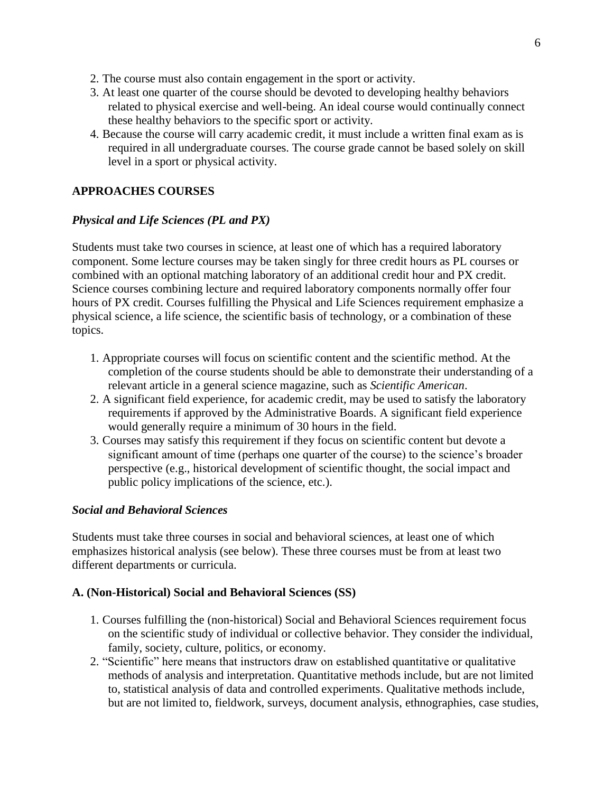- 2. The course must also contain engagement in the sport or activity.
- 3. At least one quarter of the course should be devoted to developing healthy behaviors related to physical exercise and well-being. An ideal course would continually connect these healthy behaviors to the specific sport or activity.
- 4. Because the course will carry academic credit, it must include a written final exam as is required in all undergraduate courses. The course grade cannot be based solely on skill level in a sport or physical activity.

# **APPROACHES COURSES**

### *Physical and Life Sciences (PL and PX)*

Students must take two courses in science, at least one of which has a required laboratory component. Some lecture courses may be taken singly for three credit hours as PL courses or combined with an optional matching laboratory of an additional credit hour and PX credit. Science courses combining lecture and required laboratory components normally offer four hours of PX credit. Courses fulfilling the Physical and Life Sciences requirement emphasize a physical science, a life science, the scientific basis of technology, or a combination of these topics.

- 1. Appropriate courses will focus on scientific content and the scientific method. At the completion of the course students should be able to demonstrate their understanding of a relevant article in a general science magazine, such as *Scientific American*.
- 2. A significant field experience, for academic credit, may be used to satisfy the laboratory requirements if approved by the Administrative Boards. A significant field experience would generally require a minimum of 30 hours in the field.
- 3. Courses may satisfy this requirement if they focus on scientific content but devote a significant amount of time (perhaps one quarter of the course) to the science's broader perspective (e.g., historical development of scientific thought, the social impact and public policy implications of the science, etc.).

### *Social and Behavioral Sciences*

Students must take three courses in social and behavioral sciences, at least one of which emphasizes historical analysis (see below). These three courses must be from at least two different departments or curricula.

### **A. (Non-Historical) Social and Behavioral Sciences (SS)**

- 1. Courses fulfilling the (non-historical) Social and Behavioral Sciences requirement focus on the scientific study of individual or collective behavior. They consider the individual, family, society, culture, politics, or economy.
- 2. "Scientific" here means that instructors draw on established quantitative or qualitative methods of analysis and interpretation. Quantitative methods include, but are not limited to, statistical analysis of data and controlled experiments. Qualitative methods include, but are not limited to, fieldwork, surveys, document analysis, ethnographies, case studies,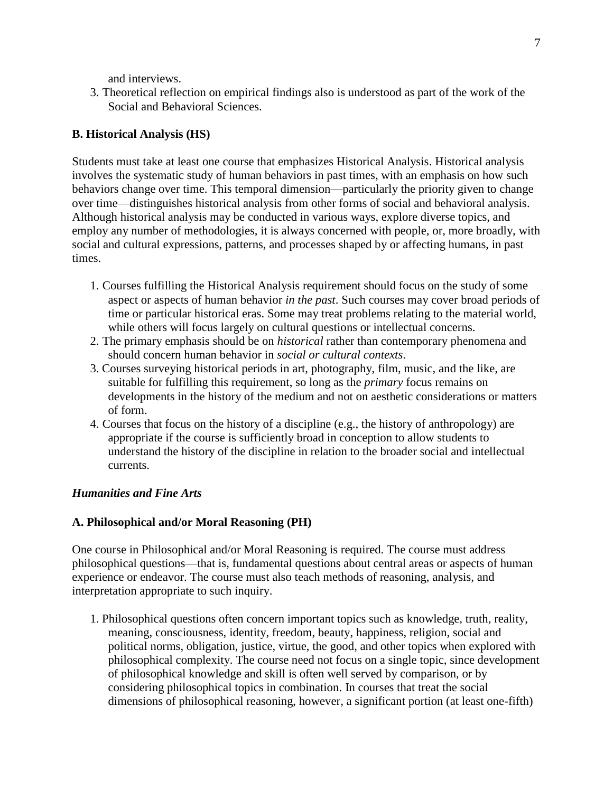and interviews.

3. Theoretical reflection on empirical findings also is understood as part of the work of the Social and Behavioral Sciences.

## **B. Historical Analysis (HS)**

Students must take at least one course that emphasizes Historical Analysis. Historical analysis involves the systematic study of human behaviors in past times, with an emphasis on how such behaviors change over time. This temporal dimension—particularly the priority given to change over time—distinguishes historical analysis from other forms of social and behavioral analysis. Although historical analysis may be conducted in various ways, explore diverse topics, and employ any number of methodologies, it is always concerned with people, or, more broadly, with social and cultural expressions, patterns, and processes shaped by or affecting humans, in past times.

- 1. Courses fulfilling the Historical Analysis requirement should focus on the study of some aspect or aspects of human behavior *in the past*. Such courses may cover broad periods of time or particular historical eras. Some may treat problems relating to the material world, while others will focus largely on cultural questions or intellectual concerns.
- 2. The primary emphasis should be on *historical* rather than contemporary phenomena and should concern human behavior in *social or cultural contexts*.
- 3. Courses surveying historical periods in art, photography, film, music, and the like, are suitable for fulfilling this requirement, so long as the *primary* focus remains on developments in the history of the medium and not on aesthetic considerations or matters of form.
- 4. Courses that focus on the history of a discipline (e.g., the history of anthropology) are appropriate if the course is sufficiently broad in conception to allow students to understand the history of the discipline in relation to the broader social and intellectual currents.

### *Humanities and Fine Arts*

### **A. Philosophical and/or Moral Reasoning (PH)**

One course in Philosophical and/or Moral Reasoning is required. The course must address philosophical questions—that is, fundamental questions about central areas or aspects of human experience or endeavor. The course must also teach methods of reasoning, analysis, and interpretation appropriate to such inquiry.

1. Philosophical questions often concern important topics such as knowledge, truth, reality, meaning, consciousness, identity, freedom, beauty, happiness, religion, social and political norms, obligation, justice, virtue, the good, and other topics when explored with philosophical complexity. The course need not focus on a single topic, since development of philosophical knowledge and skill is often well served by comparison, or by considering philosophical topics in combination. In courses that treat the social dimensions of philosophical reasoning, however, a significant portion (at least one-fifth)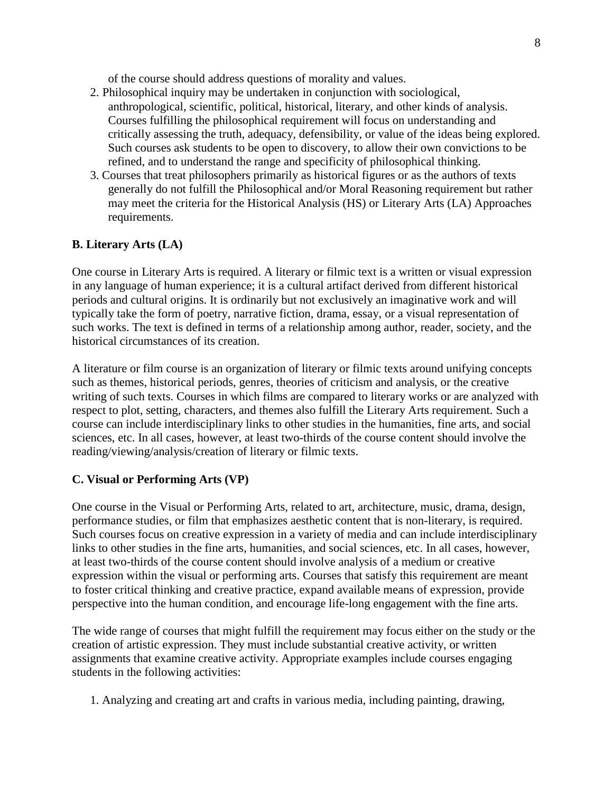of the course should address questions of morality and values.

- 2. Philosophical inquiry may be undertaken in conjunction with sociological, anthropological, scientific, political, historical, literary, and other kinds of analysis. Courses fulfilling the philosophical requirement will focus on understanding and critically assessing the truth, adequacy, defensibility, or value of the ideas being explored. Such courses ask students to be open to discovery, to allow their own convictions to be refined, and to understand the range and specificity of philosophical thinking.
- 3. Courses that treat philosophers primarily as historical figures or as the authors of texts generally do not fulfill the Philosophical and/or Moral Reasoning requirement but rather may meet the criteria for the Historical Analysis (HS) or Literary Arts (LA) Approaches requirements.

# **B. Literary Arts (LA)**

One course in Literary Arts is required. A literary or filmic text is a written or visual expression in any language of human experience; it is a cultural artifact derived from different historical periods and cultural origins. It is ordinarily but not exclusively an imaginative work and will typically take the form of poetry, narrative fiction, drama, essay, or a visual representation of such works. The text is defined in terms of a relationship among author, reader, society, and the historical circumstances of its creation.

A literature or film course is an organization of literary or filmic texts around unifying concepts such as themes, historical periods, genres, theories of criticism and analysis, or the creative writing of such texts. Courses in which films are compared to literary works or are analyzed with respect to plot, setting, characters, and themes also fulfill the Literary Arts requirement. Such a course can include interdisciplinary links to other studies in the humanities, fine arts, and social sciences, etc. In all cases, however, at least two-thirds of the course content should involve the reading/viewing/analysis/creation of literary or filmic texts.

### **C. Visual or Performing Arts (VP)**

One course in the Visual or Performing Arts, related to art, architecture, music, drama, design, performance studies, or film that emphasizes aesthetic content that is non-literary, is required. Such courses focus on creative expression in a variety of media and can include interdisciplinary links to other studies in the fine arts, humanities, and social sciences, etc. In all cases, however, at least two-thirds of the course content should involve analysis of a medium or creative expression within the visual or performing arts. Courses that satisfy this requirement are meant to foster critical thinking and creative practice, expand available means of expression, provide perspective into the human condition, and encourage life-long engagement with the fine arts.

The wide range of courses that might fulfill the requirement may focus either on the study or the creation of artistic expression. They must include substantial creative activity, or written assignments that examine creative activity. Appropriate examples include courses engaging students in the following activities:

1. Analyzing and creating art and crafts in various media, including painting, drawing,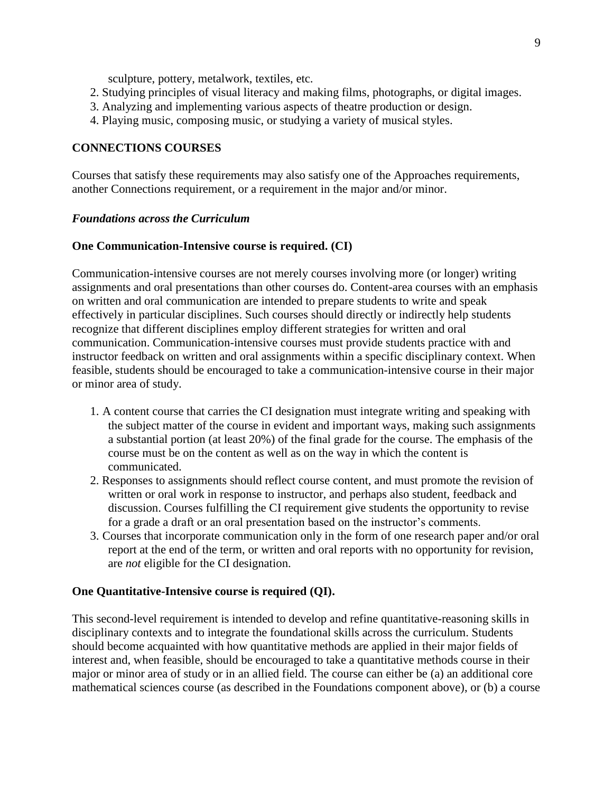sculpture, pottery, metalwork, textiles, etc.

- 2. Studying principles of visual literacy and making films, photographs, or digital images.
- 3. Analyzing and implementing various aspects of theatre production or design.
- 4. Playing music, composing music, or studying a variety of musical styles.

### **CONNECTIONS COURSES**

Courses that satisfy these requirements may also satisfy one of the Approaches requirements, another Connections requirement, or a requirement in the major and/or minor.

#### *Foundations across the Curriculum*

#### **One Communication-Intensive course is required. (CI)**

Communication-intensive courses are not merely courses involving more (or longer) writing assignments and oral presentations than other courses do. Content-area courses with an emphasis on written and oral communication are intended to prepare students to write and speak effectively in particular disciplines. Such courses should directly or indirectly help students recognize that different disciplines employ different strategies for written and oral communication. Communication-intensive courses must provide students practice with and instructor feedback on written and oral assignments within a specific disciplinary context. When feasible, students should be encouraged to take a communication-intensive course in their major or minor area of study.

- 1. A content course that carries the CI designation must integrate writing and speaking with the subject matter of the course in evident and important ways, making such assignments a substantial portion (at least 20%) of the final grade for the course. The emphasis of the course must be on the content as well as on the way in which the content is communicated.
- 2. Responses to assignments should reflect course content, and must promote the revision of written or oral work in response to instructor, and perhaps also student, feedback and discussion. Courses fulfilling the CI requirement give students the opportunity to revise for a grade a draft or an oral presentation based on the instructor's comments.
- 3. Courses that incorporate communication only in the form of one research paper and/or oral report at the end of the term, or written and oral reports with no opportunity for revision, are *not* eligible for the CI designation.

#### **One Quantitative-Intensive course is required (QI).**

This second-level requirement is intended to develop and refine quantitative-reasoning skills in disciplinary contexts and to integrate the foundational skills across the curriculum. Students should become acquainted with how quantitative methods are applied in their major fields of interest and, when feasible, should be encouraged to take a quantitative methods course in their major or minor area of study or in an allied field. The course can either be (a) an additional core mathematical sciences course (as described in the Foundations component above), or (b) a course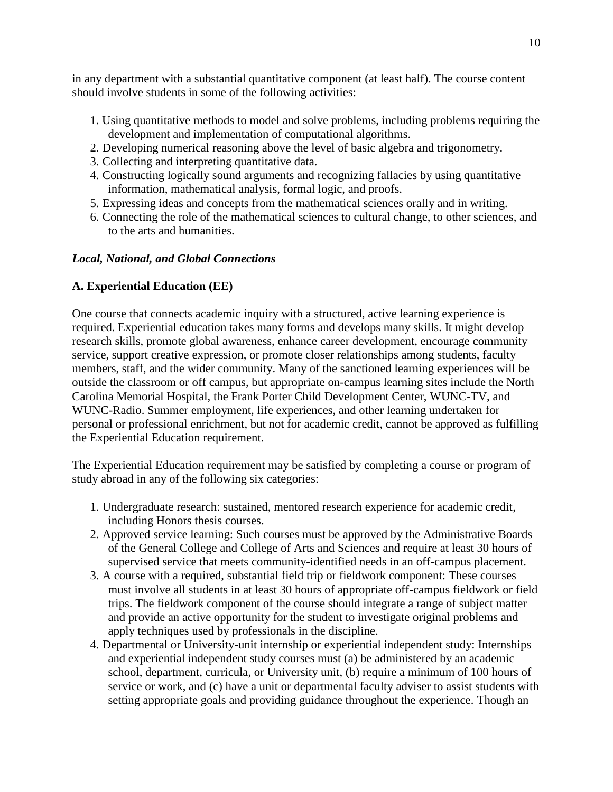in any department with a substantial quantitative component (at least half). The course content should involve students in some of the following activities:

- 1. Using quantitative methods to model and solve problems, including problems requiring the development and implementation of computational algorithms.
- 2. Developing numerical reasoning above the level of basic algebra and trigonometry.
- 3. Collecting and interpreting quantitative data.
- 4. Constructing logically sound arguments and recognizing fallacies by using quantitative information, mathematical analysis, formal logic, and proofs.
- 5. Expressing ideas and concepts from the mathematical sciences orally and in writing.
- 6. Connecting the role of the mathematical sciences to cultural change, to other sciences, and to the arts and humanities.

# *Local, National, and Global Connections*

# **A. Experiential Education (EE)**

One course that connects academic inquiry with a structured, active learning experience is required. Experiential education takes many forms and develops many skills. It might develop research skills, promote global awareness, enhance career development, encourage community service, support creative expression, or promote closer relationships among students, faculty members, staff, and the wider community. Many of the sanctioned learning experiences will be outside the classroom or off campus, but appropriate on-campus learning sites include the North Carolina Memorial Hospital, the Frank Porter Child Development Center, WUNC-TV, and WUNC-Radio. Summer employment, life experiences, and other learning undertaken for personal or professional enrichment, but not for academic credit, cannot be approved as fulfilling the Experiential Education requirement.

The Experiential Education requirement may be satisfied by completing a course or program of study abroad in any of the following six categories:

- 1. Undergraduate research: sustained, mentored research experience for academic credit, including Honors thesis courses.
- 2. Approved service learning: Such courses must be approved by the Administrative Boards of the General College and College of Arts and Sciences and require at least 30 hours of supervised service that meets community-identified needs in an off-campus placement.
- 3. A course with a required, substantial field trip or fieldwork component: These courses must involve all students in at least 30 hours of appropriate off-campus fieldwork or field trips. The fieldwork component of the course should integrate a range of subject matter and provide an active opportunity for the student to investigate original problems and apply techniques used by professionals in the discipline.
- 4. Departmental or University-unit internship or experiential independent study: Internships and experiential independent study courses must (a) be administered by an academic school, department, curricula, or University unit, (b) require a minimum of 100 hours of service or work, and (c) have a unit or departmental faculty adviser to assist students with setting appropriate goals and providing guidance throughout the experience. Though an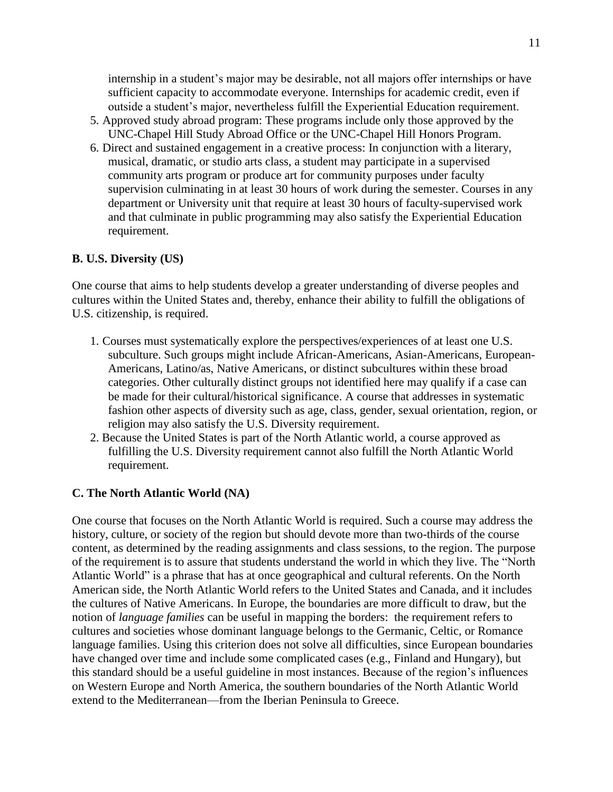internship in a student's major may be desirable, not all majors offer internships or have sufficient capacity to accommodate everyone. Internships for academic credit, even if outside a student's major, nevertheless fulfill the Experiential Education requirement.

- 5. Approved study abroad program: These programs include only those approved by the UNC-Chapel Hill Study Abroad Office or the UNC-Chapel Hill Honors Program.
- 6. Direct and sustained engagement in a creative process: In conjunction with a literary, musical, dramatic, or studio arts class, a student may participate in a supervised community arts program or produce art for community purposes under faculty supervision culminating in at least 30 hours of work during the semester. Courses in any department or University unit that require at least 30 hours of faculty-supervised work and that culminate in public programming may also satisfy the Experiential Education requirement.

## **B. U.S. Diversity (US)**

One course that aims to help students develop a greater understanding of diverse peoples and cultures within the United States and, thereby, enhance their ability to fulfill the obligations of U.S. citizenship, is required.

- 1. Courses must systematically explore the perspectives/experiences of at least one U.S. subculture. Such groups might include African-Americans, Asian-Americans, European-Americans, Latino/as, Native Americans, or distinct subcultures within these broad categories. Other culturally distinct groups not identified here may qualify if a case can be made for their cultural/historical significance. A course that addresses in systematic fashion other aspects of diversity such as age, class, gender, sexual orientation, region, or religion may also satisfy the U.S. Diversity requirement.
- 2. Because the United States is part of the North Atlantic world, a course approved as fulfilling the U.S. Diversity requirement cannot also fulfill the North Atlantic World requirement.

### **C. The North Atlantic World (NA)**

One course that focuses on the North Atlantic World is required. Such a course may address the history, culture, or society of the region but should devote more than two-thirds of the course content, as determined by the reading assignments and class sessions, to the region. The purpose of the requirement is to assure that students understand the world in which they live. The "North Atlantic World" is a phrase that has at once geographical and cultural referents. On the North American side, the North Atlantic World refers to the United States and Canada, and it includes the cultures of Native Americans. In Europe, the boundaries are more difficult to draw, but the notion of *language families* can be useful in mapping the borders: the requirement refers to cultures and societies whose dominant language belongs to the Germanic, Celtic, or Romance language families. Using this criterion does not solve all difficulties, since European boundaries have changed over time and include some complicated cases (e.g., Finland and Hungary), but this standard should be a useful guideline in most instances. Because of the region's influences on Western Europe and North America, the southern boundaries of the North Atlantic World extend to the Mediterranean—from the Iberian Peninsula to Greece.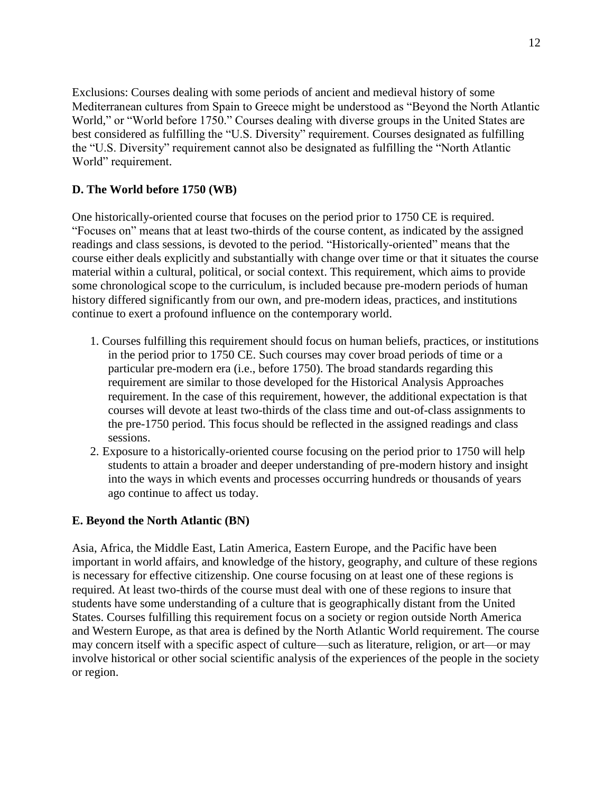Exclusions: Courses dealing with some periods of ancient and medieval history of some Mediterranean cultures from Spain to Greece might be understood as "Beyond the North Atlantic World," or "World before 1750." Courses dealing with diverse groups in the United States are best considered as fulfilling the "U.S. Diversity" requirement. Courses designated as fulfilling the "U.S. Diversity" requirement cannot also be designated as fulfilling the "North Atlantic World" requirement.

# **D. The World before 1750 (WB)**

One historically-oriented course that focuses on the period prior to 1750 CE is required. "Focuses on" means that at least two-thirds of the course content, as indicated by the assigned readings and class sessions, is devoted to the period. "Historically-oriented" means that the course either deals explicitly and substantially with change over time or that it situates the course material within a cultural, political, or social context. This requirement, which aims to provide some chronological scope to the curriculum, is included because pre-modern periods of human history differed significantly from our own, and pre-modern ideas, practices, and institutions continue to exert a profound influence on the contemporary world.

- 1. Courses fulfilling this requirement should focus on human beliefs, practices, or institutions in the period prior to 1750 CE. Such courses may cover broad periods of time or a particular pre-modern era (i.e., before 1750). The broad standards regarding this requirement are similar to those developed for the Historical Analysis Approaches requirement. In the case of this requirement, however, the additional expectation is that courses will devote at least two-thirds of the class time and out-of-class assignments to the pre-1750 period. This focus should be reflected in the assigned readings and class sessions.
- 2. Exposure to a historically-oriented course focusing on the period prior to 1750 will help students to attain a broader and deeper understanding of pre-modern history and insight into the ways in which events and processes occurring hundreds or thousands of years ago continue to affect us today.

# **E. Beyond the North Atlantic (BN)**

Asia, Africa, the Middle East, Latin America, Eastern Europe, and the Pacific have been important in world affairs, and knowledge of the history, geography, and culture of these regions is necessary for effective citizenship. One course focusing on at least one of these regions is required. At least two-thirds of the course must deal with one of these regions to insure that students have some understanding of a culture that is geographically distant from the United States. Courses fulfilling this requirement focus on a society or region outside North America and Western Europe, as that area is defined by the North Atlantic World requirement. The course may concern itself with a specific aspect of culture—such as literature, religion, or art—or may involve historical or other social scientific analysis of the experiences of the people in the society or region.